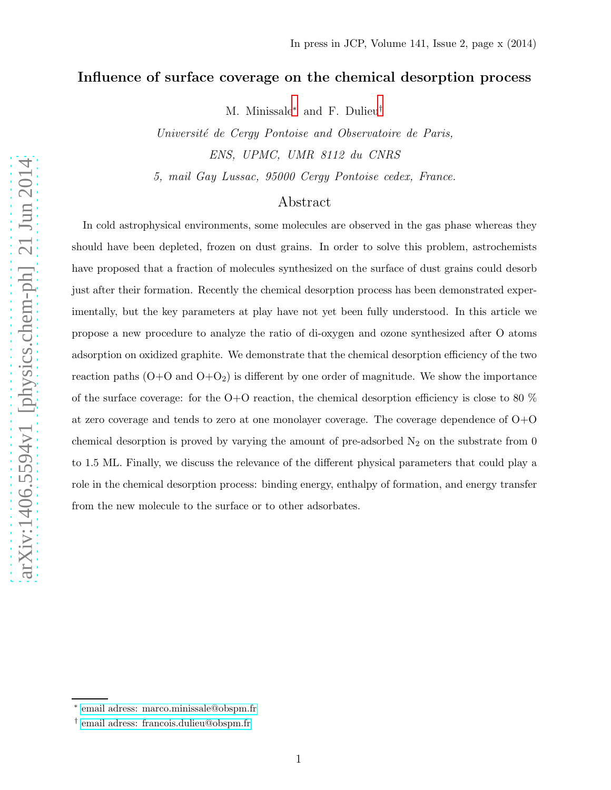# Influence of surface coverage on the chemical desorption process

M. Minissale[∗](#page-0-0) and F. Dulieu[†](#page-0-1)

Université de Cergy Pontoise and Observatoire de Paris, ENS, UPMC, UMR 8112 du CNRS

5, mail Gay Lussac, 95000 Cergy Pontoise cedex, France.

# Abstract

In cold astrophysical environments, some molecules are observed in the gas phase whereas they should have been depleted, frozen on dust grains. In order to solve this problem, astrochemists have proposed that a fraction of molecules synthesized on the surface of dust grains could desorb just after their formation. Recently the chemical desorption process has been demonstrated experimentally, but the key parameters at play have not yet been fully understood. In this article we propose a new procedure to analyze the ratio of di-oxygen and ozone synthesized after O atoms adsorption on oxidized graphite. We demonstrate that the chemical desorption efficiency of the two reaction paths  $(O+O)$  and  $(O+O<sub>2</sub>)$  is different by one order of magnitude. We show the importance of the surface coverage: for the  $O+O$  reaction, the chemical desorption efficiency is close to 80  $\%$ at zero coverage and tends to zero at one monolayer coverage. The coverage dependence of  $O+O$ chemical desorption is proved by varying the amount of pre-adsorbed  $N_2$  on the substrate from 0 to 1.5 ML. Finally, we discuss the relevance of the different physical parameters that could play a role in the chemical desorption process: binding energy, enthalpy of formation, and energy transfer from the new molecule to the surface or to other adsorbates.

arXiv:1406.5594v1 [physics.chem-ph] 21 Jun 2014 [arXiv:1406.5594v1 \[physics.chem-ph\] 21 Jun 2014](http://arxiv.org/abs/1406.5594v1)

<span id="page-0-1"></span><span id="page-0-0"></span><sup>∗</sup> [email adress: marco.minissale@obspm.fr](mailto:email adress: marco.minissale@obspm.fr)

<sup>†</sup> [email adress: francois.dulieu@obspm.fr](mailto:email adress: francois.dulieu@obspm.fr)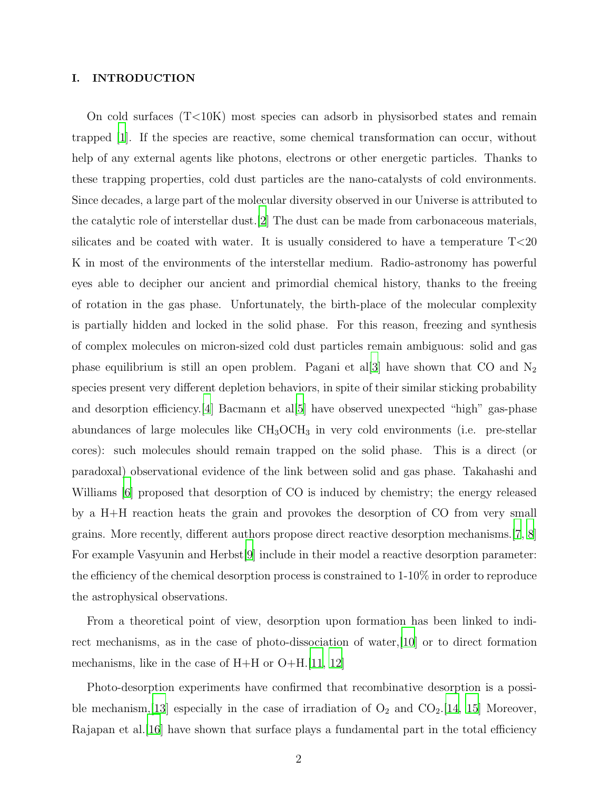## I. INTRODUCTION

On cold surfaces (T<10K) most species can adsorb in physisorbed states and remain trapped [\[1\]](#page-17-0). If the species are reactive, some chemical transformation can occur, without help of any external agents like photons, electrons or other energetic particles. Thanks to these trapping properties, cold dust particles are the nano-catalysts of cold environments. Since decades, a large part of the molecular diversity observed in our Universe is attributed to the catalytic role of interstellar dust.[\[2\]](#page-17-1) The dust can be made from carbonaceous materials, silicates and be coated with water. It is usually considered to have a temperature T<20 K in most of the environments of the interstellar medium. Radio-astronomy has powerful eyes able to decipher our ancient and primordial chemical history, thanks to the freeing of rotation in the gas phase. Unfortunately, the birth-place of the molecular complexity is partially hidden and locked in the solid phase. For this reason, freezing and synthesis of complex molecules on micron-sized cold dust particles remain ambiguous: solid and gas phase equilibrium is still an open problem. Pagani et al[\[3\]](#page-17-2) have shown that CO and  $N_2$ species present very different depletion behaviors, in spite of their similar sticking probability and desorption efficiency.[\[4](#page-17-3)] Bacmann et al[\[5](#page-17-4)] have observed unexpected "high" gas-phase abundances of large molecules like  $CH_3OCH_3$  in very cold environments (i.e. pre-stellar cores): such molecules should remain trapped on the solid phase. This is a direct (or paradoxal) observational evidence of the link between solid and gas phase. Takahashi and Williams [\[6\]](#page-17-5) proposed that desorption of CO is induced by chemistry; the energy released by a H+H reaction heats the grain and provokes the desorption of CO from very small grains. More recently, different authors propose direct reactive desorption mechanisms.[\[7](#page-18-0), [8\]](#page-18-1) For example Vasyunin and Herbst[\[9](#page-18-2)] include in their model a reactive desorption parameter: the efficiency of the chemical desorption process is constrained to 1-10% in order to reproduce the astrophysical observations.

From a theoretical point of view, desorption upon formation has been linked to indirect mechanisms, as in the case of photo-dissociation of water,[\[10\]](#page-18-3) or to direct formation mechanisms, like in the case of  $H+H$  or  $O+H$ .[\[11,](#page-18-4) [12](#page-18-5)]

Photo-desorption experiments have confirmed that recombinative desorption is a possi-ble mechanism, [\[13](#page-18-6)] especially in the case of irradiation of  $O_2$  and  $CO_2$ . [\[14,](#page-18-7) [15\]](#page-18-8) Moreover, Rajapan et al. [\[16\]](#page-18-9) have shown that surface plays a fundamental part in the total efficiency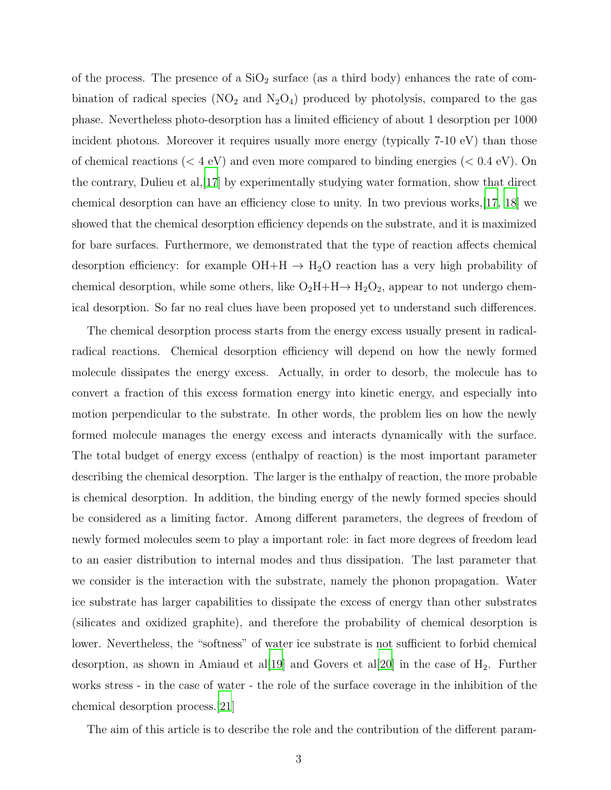of the process. The presence of a  $SiO<sub>2</sub>$  surface (as a third body) enhances the rate of combination of radical species  $(NO_2 \text{ and } N_2O_4)$  produced by photolysis, compared to the gas phase. Nevertheless photo-desorption has a limited efficiency of about 1 desorption per 1000 incident photons. Moreover it requires usually more energy (typically 7-10 eV) than those of chemical reactions ( $<$  4 eV) and even more compared to binding energies ( $<$  0.4 eV). On the contrary, Dulieu et al,[\[17](#page-18-10)] by experimentally studying water formation, show that direct chemical desorption can have an efficiency close to unity. In two previous works,[\[17,](#page-18-10) [18\]](#page-18-11) we showed that the chemical desorption efficiency depends on the substrate, and it is maximized for bare surfaces. Furthermore, we demonstrated that the type of reaction affects chemical desorption efficiency: for example  $OH + H \rightarrow H_2O$  reaction has a very high probability of chemical desorption, while some others, like  $O_2H + H \rightarrow H_2O_2$ , appear to not undergo chemical desorption. So far no real clues have been proposed yet to understand such differences.

The chemical desorption process starts from the energy excess usually present in radicalradical reactions. Chemical desorption efficiency will depend on how the newly formed molecule dissipates the energy excess. Actually, in order to desorb, the molecule has to convert a fraction of this excess formation energy into kinetic energy, and especially into motion perpendicular to the substrate. In other words, the problem lies on how the newly formed molecule manages the energy excess and interacts dynamically with the surface. The total budget of energy excess (enthalpy of reaction) is the most important parameter describing the chemical desorption. The larger is the enthalpy of reaction, the more probable is chemical desorption. In addition, the binding energy of the newly formed species should be considered as a limiting factor. Among different parameters, the degrees of freedom of newly formed molecules seem to play a important role: in fact more degrees of freedom lead to an easier distribution to internal modes and thus dissipation. The last parameter that we consider is the interaction with the substrate, namely the phonon propagation. Water ice substrate has larger capabilities to dissipate the excess of energy than other substrates (silicates and oxidized graphite), and therefore the probability of chemical desorption is lower. Nevertheless, the "softness" of water ice substrate is not sufficient to forbid chemical desorption, as shown in Amiaud et all [\[19](#page-18-12)] and Govers et all [\[20\]](#page-18-13) in the case of  $H_2$ . Further works stress - in the case of water - the role of the surface coverage in the inhibition of the chemical desorption process.[\[21](#page-18-14)]

The aim of this article is to describe the role and the contribution of the different param-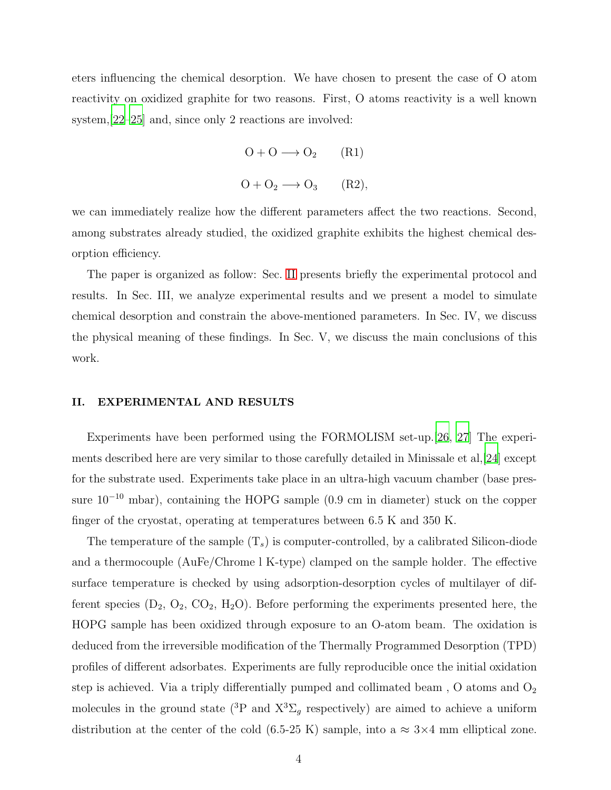eters influencing the chemical desorption. We have chosen to present the case of O atom reactivity on oxidized graphite for two reasons. First, O atoms reactivity is a well known system,[\[22](#page-18-15)[–25\]](#page-19-0) and, since only 2 reactions are involved:

$$
O + O \longrightarrow O_2 \qquad (R1)
$$
  

$$
O + O_2 \longrightarrow O_3 \qquad (R2),
$$

we can immediately realize how the different parameters affect the two reactions. Second, among substrates already studied, the oxidized graphite exhibits the highest chemical desorption efficiency.

The paper is organized as follow: Sec. [II](#page-3-0) presents briefly the experimental protocol and results. In Sec. III, we analyze experimental results and we present a model to simulate chemical desorption and constrain the above-mentioned parameters. In Sec. IV, we discuss the physical meaning of these findings. In Sec. V, we discuss the main conclusions of this work.

#### <span id="page-3-0"></span>II. EXPERIMENTAL AND RESULTS

Experiments have been performed using the FORMOLISM set-up.[\[26](#page-19-1), [27](#page-19-2)] The experiments described here are very similar to those carefully detailed in Minissale et al,[\[24](#page-18-16)] except for the substrate used. Experiments take place in an ultra-high vacuum chamber (base pressure  $10^{-10}$  mbar), containing the HOPG sample (0.9 cm in diameter) stuck on the copper finger of the cryostat, operating at temperatures between 6.5 K and 350 K.

The temperature of the sample  $(T_s)$  is computer-controlled, by a calibrated Silicon-diode and a thermocouple (AuFe/Chrome l K-type) clamped on the sample holder. The effective surface temperature is checked by using adsorption-desorption cycles of multilayer of different species  $(D_2, O_2, CO_2, H_2O)$ . Before performing the experiments presented here, the HOPG sample has been oxidized through exposure to an O-atom beam. The oxidation is deduced from the irreversible modification of the Thermally Programmed Desorption (TPD) profiles of different adsorbates. Experiments are fully reproducible once the initial oxidation step is achieved. Via a triply differentially pumped and collimated beam,  $O$  atoms and  $O_2$ molecules in the ground state (<sup>3</sup>P and  $X^3\Sigma_g$  respectively) are aimed to achieve a uniform distribution at the center of the cold (6.5-25 K) sample, into a  $\approx 3 \times 4$  mm elliptical zone.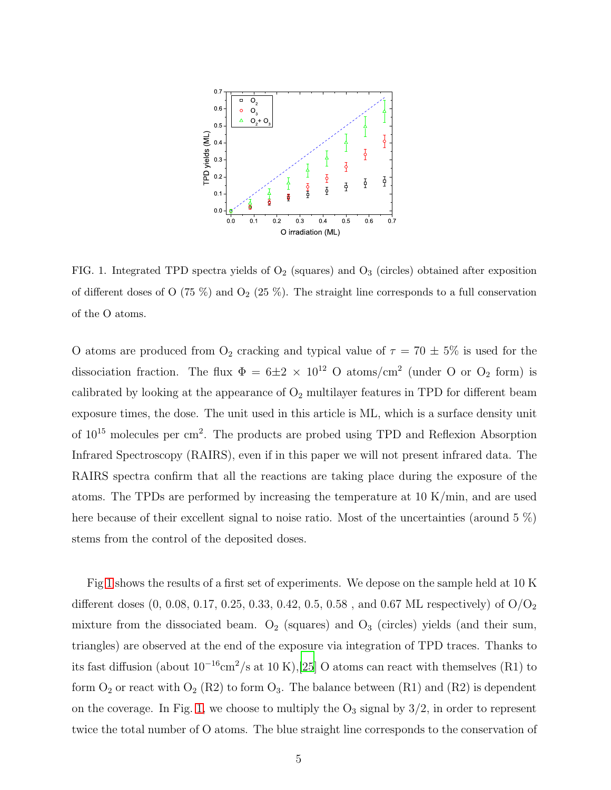

<span id="page-4-0"></span>FIG. 1. Integrated TPD spectra yields of  $O_2$  (squares) and  $O_3$  (circles) obtained after exposition of different doses of O (75 %) and  $O_2$  (25 %). The straight line corresponds to a full conservation of the O atoms.

O atoms are produced from  $O_2$  cracking and typical value of  $\tau = 70 \pm 5\%$  is used for the dissociation fraction. The flux  $\Phi = 6 \pm 2 \times 10^{12}$  O atoms/cm<sup>2</sup> (under O or O<sub>2</sub> form) is calibrated by looking at the appearance of  $O_2$  multilayer features in TPD for different beam exposure times, the dose. The unit used in this article is ML, which is a surface density unit of  $10^{15}$  molecules per cm<sup>2</sup>. The products are probed using TPD and Reflexion Absorption Infrared Spectroscopy (RAIRS), even if in this paper we will not present infrared data. The RAIRS spectra confirm that all the reactions are taking place during the exposure of the atoms. The TPDs are performed by increasing the temperature at 10 K/min, and are used here because of their excellent signal to noise ratio. Most of the uncertainties (around 5 %) stems from the control of the deposited doses.

Fig [1](#page-4-0) shows the results of a first set of experiments. We depose on the sample held at 10 K different doses  $(0, 0.08, 0.17, 0.25, 0.33, 0.42, 0.5, 0.58, \text{ and } 0.67 \text{ ML respectively})$  of  $O/O<sub>2</sub>$ mixture from the dissociated beam.  $O_2$  (squares) and  $O_3$  (circles) yields (and their sum, triangles) are observed at the end of the exposure via integration of TPD traces. Thanks to its fast diffusion (about  $10^{-16}$ cm<sup>2</sup>/s at 10 K),[\[25\]](#page-19-0) O atoms can react with themselves (R1) to form  $O_2$  or react with  $O_2$  (R2) to form  $O_3$ . The balance between (R1) and (R2) is dependent on the coverage. In Fig. [1,](#page-4-0) we choose to multiply the  $O_3$  signal by  $3/2$ , in order to represent twice the total number of O atoms. The blue straight line corresponds to the conservation of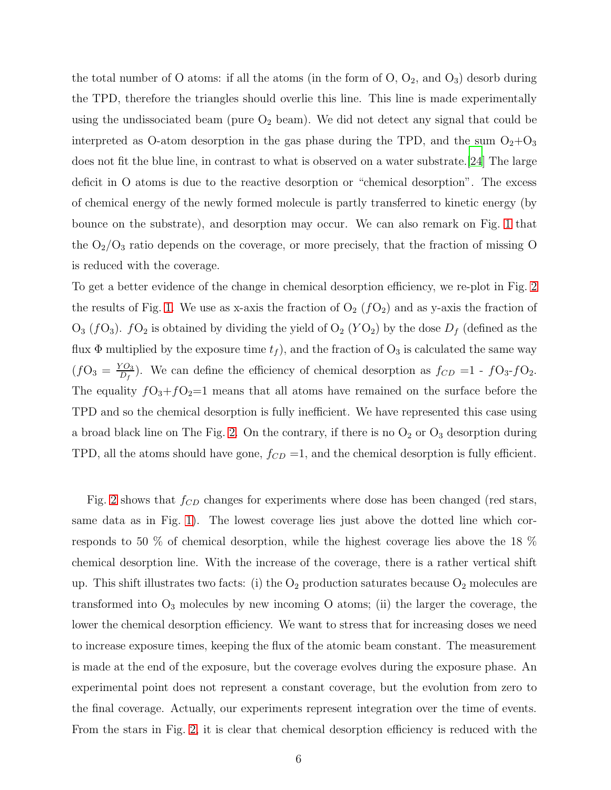the total number of O atoms: if all the atoms (in the form of  $O, O_2$ , and  $O_3$ ) desorbe during the TPD, therefore the triangles should overlie this line. This line is made experimentally using the undissociated beam (pure  $O_2$  beam). We did not detect any signal that could be interpreted as O-atom desorption in the gas phase during the TPD, and the sum  $O_2+O_3$ does not fit the blue line, in contrast to what is observed on a water substrate.[\[24](#page-18-16)] The large deficit in O atoms is due to the reactive desorption or "chemical desorption". The excess of chemical energy of the newly formed molecule is partly transferred to kinetic energy (by bounce on the substrate), and desorption may occur. We can also remark on Fig. [1](#page-4-0) that the  $O_2/O_3$  ratio depends on the coverage, or more precisely, that the fraction of missing O is reduced with the coverage.

To get a better evidence of the change in chemical desorption efficiency, we re-plot in Fig. [2](#page-6-0) the results of Fig. [1.](#page-4-0) We use as x-axis the fraction of  $O_2(fO_2)$  and as y-axis the fraction of  $O_3$  ( $fO_3$ ).  $fO_2$  is obtained by dividing the yield of  $O_2$  ( $YO_2$ ) by the dose  $D_f$  (defined as the flux  $\Phi$  multiplied by the exposure time  $t_f$ , and the fraction of  $O_3$  is calculated the same way  $(fO_3 = \frac{YO_3}{D_f})$  $\frac{\partial Q_3}{\partial f}$ . We can define the efficiency of chemical desorption as  $f_{CD} = 1 - fQ_3 - fQ_2$ . The equality  $fO_3+fO_2=1$  means that all atoms have remained on the surface before the TPD and so the chemical desorption is fully inefficient. We have represented this case using a broad black line on The Fig. [2.](#page-6-0) On the contrary, if there is no  $O_2$  or  $O_3$  desorption during TPD, all the atoms should have gone,  $f_{CD} = 1$ , and the chemical desorption is fully efficient.

Fig. [2](#page-6-0) shows that  $f_{CD}$  changes for experiments where dose has been changed (red stars, same data as in Fig. [1\)](#page-4-0). The lowest coverage lies just above the dotted line which corresponds to 50 % of chemical desorption, while the highest coverage lies above the 18 % chemical desorption line. With the increase of the coverage, there is a rather vertical shift up. This shift illustrates two facts: (i) the  $O_2$  production saturates because  $O_2$  molecules are transformed into  $O_3$  molecules by new incoming O atoms; (ii) the larger the coverage, the lower the chemical desorption efficiency. We want to stress that for increasing doses we need to increase exposure times, keeping the flux of the atomic beam constant. The measurement is made at the end of the exposure, but the coverage evolves during the exposure phase. An experimental point does not represent a constant coverage, but the evolution from zero to the final coverage. Actually, our experiments represent integration over the time of events. From the stars in Fig. [2,](#page-6-0) it is clear that chemical desorption efficiency is reduced with the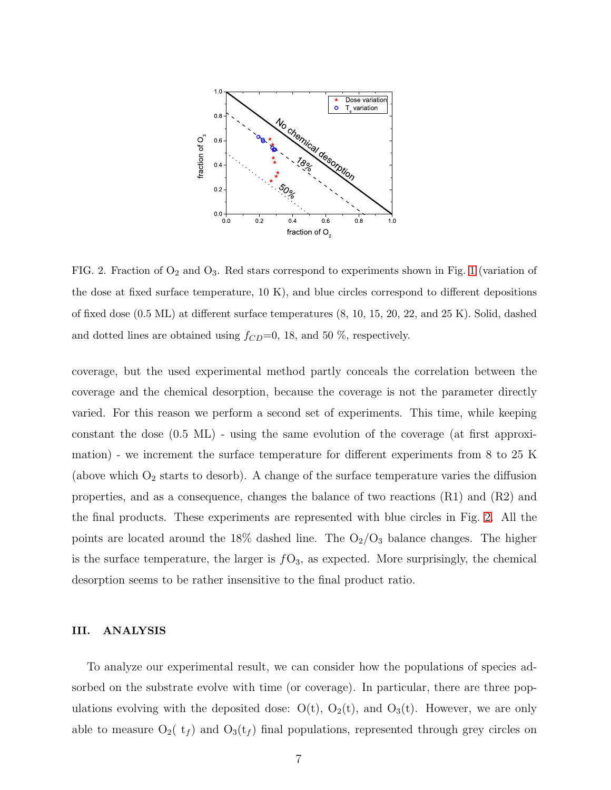

<span id="page-6-0"></span>FIG. 2. Fraction of  $O_2$  and  $O_3$ . Red stars correspond to experiments shown in Fig. [1](#page-4-0) (variation of the dose at fixed surface temperature, 10 K), and blue circles correspond to different depositions of fixed dose (0.5 ML) at different surface temperatures (8, 10, 15, 20, 22, and 25 K). Solid, dashed and dotted lines are obtained using  $f_{CD}=0$ , 18, and 50 %, respectively.

coverage, but the used experimental method partly conceals the correlation between the coverage and the chemical desorption, because the coverage is not the parameter directly varied. For this reason we perform a second set of experiments. This time, while keeping constant the dose (0.5 ML) - using the same evolution of the coverage (at first approximation) - we increment the surface temperature for different experiments from 8 to 25 K (above which  $O_2$  starts to desorb). A change of the surface temperature varies the diffusion properties, and as a consequence, changes the balance of two reactions (R1) and (R2) and the final products. These experiments are represented with blue circles in Fig. [2.](#page-6-0) All the points are located around the 18% dashed line. The  $O_2/O_3$  balance changes. The higher is the surface temperature, the larger is  $fO_3$ , as expected. More surprisingly, the chemical desorption seems to be rather insensitive to the final product ratio.

### III. ANALYSIS

To analyze our experimental result, we can consider how the populations of species adsorbed on the substrate evolve with time (or coverage). In particular, there are three populations evolving with the deposited dose:  $O(t)$ ,  $O_2(t)$ , and  $O_3(t)$ . However, we are only able to measure  $O_2(t_f)$  and  $O_3(t_f)$  final populations, represented through grey circles on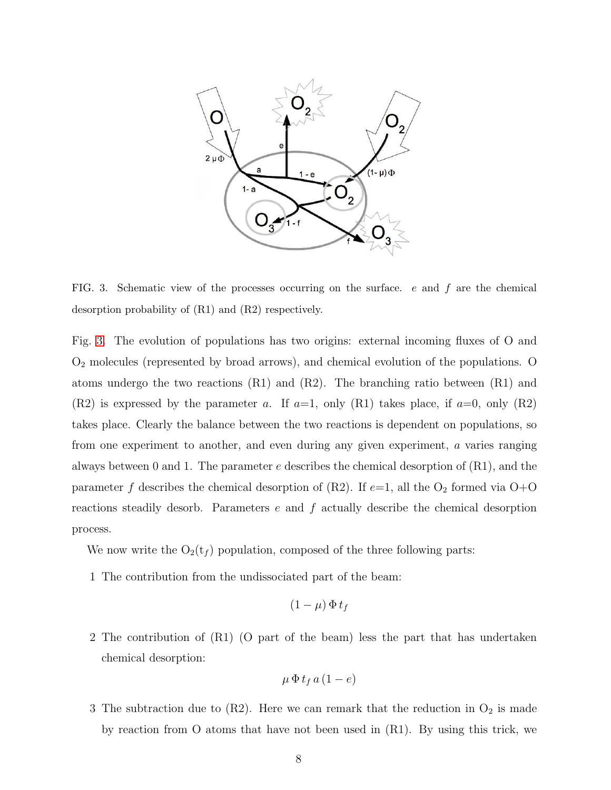

<span id="page-7-0"></span>FIG. 3. Schematic view of the processes occurring on the surface.  $e$  and  $f$  are the chemical desorption probability of (R1) and (R2) respectively.

Fig. [3.](#page-7-0) The evolution of populations has two origins: external incoming fluxes of O and O<sup>2</sup> molecules (represented by broad arrows), and chemical evolution of the populations. O atoms undergo the two reactions  $(R1)$  and  $(R2)$ . The branching ratio between  $(R1)$  and  $(R2)$  is expressed by the parameter a. If  $a=1$ , only  $(R1)$  takes place, if  $a=0$ , only  $(R2)$ takes place. Clearly the balance between the two reactions is dependent on populations, so from one experiment to another, and even during any given experiment, a varies ranging always between 0 and 1. The parameter  $e$  describes the chemical desorption of  $(R1)$ , and the parameter f describes the chemical desorption of (R2). If  $e=1$ , all the O<sub>2</sub> formed via O+O reactions steadily desorb. Parameters  $e$  and  $f$  actually describe the chemical desorption process.

We now write the  $O_2(t_f)$  population, composed of the three following parts:

1 The contribution from the undissociated part of the beam:

$$
(1 - \mu) \, \Phi \, t_f
$$

2 The contribution of (R1) (O part of the beam) less the part that has undertaken chemical desorption:

$$
\mu \, \Phi \, t_f \, a \, (1 - e)
$$

3 The subtraction due to (R2). Here we can remark that the reduction in  $O_2$  is made by reaction from O atoms that have not been used in (R1). By using this trick, we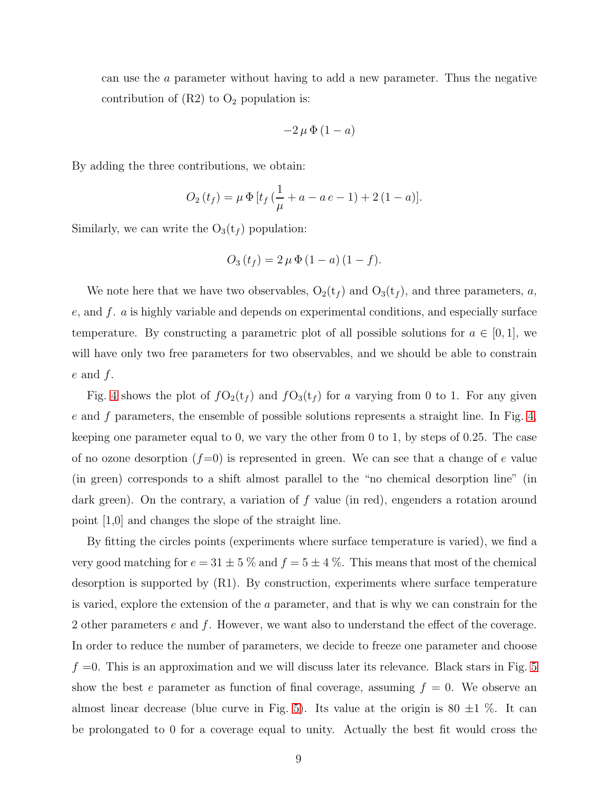can use the a parameter without having to add a new parameter. Thus the negative contribution of  $(R2)$  to  $O<sub>2</sub>$  population is:

$$
-2\,\mu\,\Phi\,(1-a)
$$

By adding the three contributions, we obtain:

$$
O_2(t_f) = \mu \Phi \left[ t_f \left( \frac{1}{\mu} + a - a e - 1 \right) + 2 (1 - a) \right].
$$

Similarly, we can write the  $O_3(t_f)$  population:

$$
O_3(t_f) = 2 \mu \Phi (1 - a) (1 - f).
$$

We note here that we have two observables,  $O_2(t_f)$  and  $O_3(t_f)$ , and three parameters, a,  $e$ , and  $f$ .  $a$  is highly variable and depends on experimental conditions, and especially surface temperature. By constructing a parametric plot of all possible solutions for  $a \in [0,1]$ , we will have only two free parameters for two observables, and we should be able to constrain  $e$  and  $f$ .

Fig. [4](#page-9-0) shows the plot of  $fO_2(t_f)$  and  $fO_3(t_f)$  for a varying from 0 to 1. For any given  $e$  and  $f$  parameters, the ensemble of possible solutions represents a straight line. In Fig. [4,](#page-9-0) keeping one parameter equal to 0, we vary the other from 0 to 1, by steps of 0.25. The case of no ozone desorption  $(f=0)$  is represented in green. We can see that a change of e value (in green) corresponds to a shift almost parallel to the "no chemical desorption line" (in dark green). On the contrary, a variation of f value (in red), engenders a rotation around point [1,0] and changes the slope of the straight line.

By fitting the circles points (experiments where surface temperature is varied), we find a very good matching for  $e = 31 \pm 5$  % and  $f = 5 \pm 4$  %. This means that most of the chemical desorption is supported by (R1). By construction, experiments where surface temperature is varied, explore the extension of the a parameter, and that is why we can constrain for the 2 other parameters  $e$  and  $f$ . However, we want also to understand the effect of the coverage. In order to reduce the number of parameters, we decide to freeze one parameter and choose  $f =0$ . This is an approximation and we will discuss later its relevance. Black stars in Fig. [5](#page-10-0) show the best e parameter as function of final coverage, assuming  $f = 0$ . We observe an almost linear decrease (blue curve in Fig. [5\)](#page-10-0). Its value at the origin is  $80 \pm 1$  %. It can be prolongated to 0 for a coverage equal to unity. Actually the best fit would cross the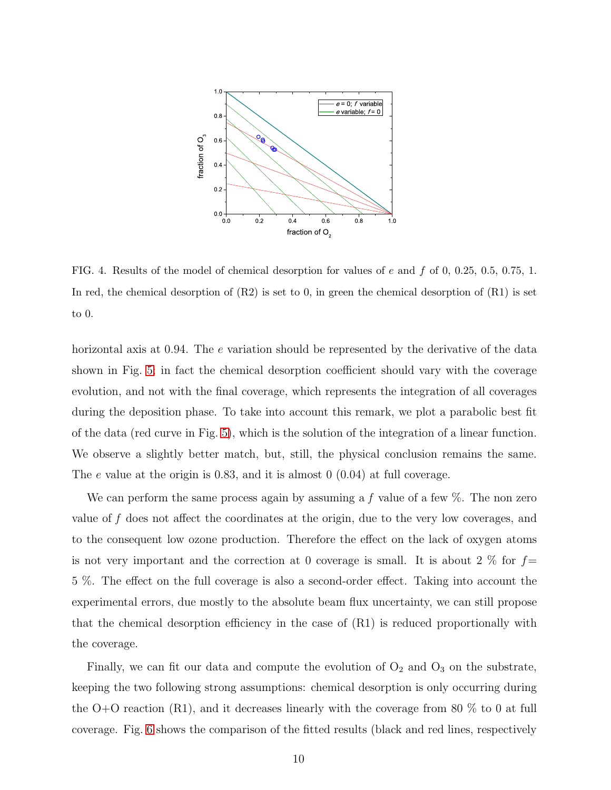

<span id="page-9-0"></span>FIG. 4. Results of the model of chemical desorption for values of e and f of 0, 0.25, 0.5, 0.75, 1. In red, the chemical desorption of  $(R2)$  is set to 0, in green the chemical desorption of  $(R1)$  is set to 0.

horizontal axis at 0.94. The e variation should be represented by the derivative of the data shown in Fig. [5;](#page-10-0) in fact the chemical desorption coefficient should vary with the coverage evolution, and not with the final coverage, which represents the integration of all coverages during the deposition phase. To take into account this remark, we plot a parabolic best fit of the data (red curve in Fig. [5\)](#page-10-0), which is the solution of the integration of a linear function. We observe a slightly better match, but, still, the physical conclusion remains the same. The e value at the origin is 0.83, and it is almost 0 (0.04) at full coverage.

We can perform the same process again by assuming a f value of a few  $\%$ . The non zero value of f does not affect the coordinates at the origin, due to the very low coverages, and to the consequent low ozone production. Therefore the effect on the lack of oxygen atoms is not very important and the correction at 0 coverage is small. It is about 2  $\%$  for  $f=$ 5 %. The effect on the full coverage is also a second-order effect. Taking into account the experimental errors, due mostly to the absolute beam flux uncertainty, we can still propose that the chemical desorption efficiency in the case of (R1) is reduced proportionally with the coverage.

Finally, we can fit our data and compute the evolution of  $O_2$  and  $O_3$  on the substrate, keeping the two following strong assumptions: chemical desorption is only occurring during the O+O reaction  $(R1)$ , and it decreases linearly with the coverage from 80 % to 0 at full coverage. Fig. [6](#page-10-1) shows the comparison of the fitted results (black and red lines, respectively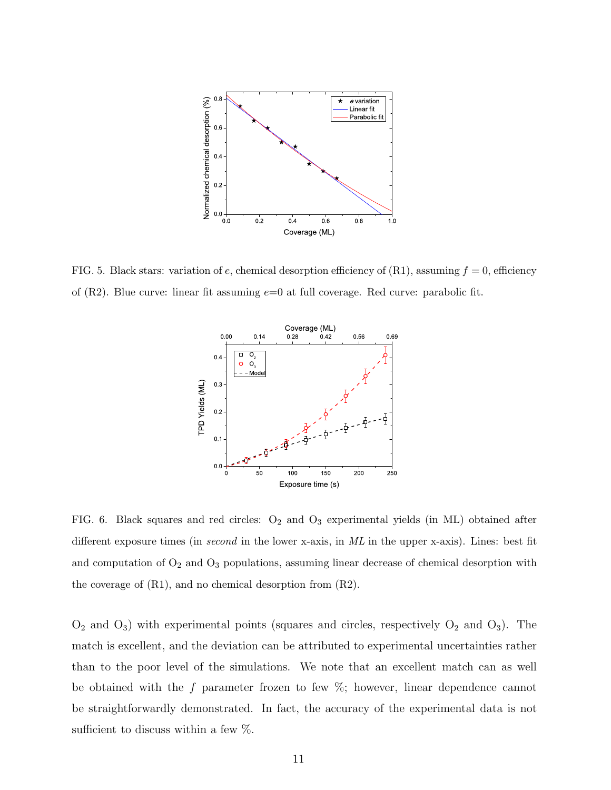

<span id="page-10-0"></span>FIG. 5. Black stars: variation of e, chemical desorption efficiency of  $(R1)$ , assuming  $f = 0$ , efficiency of  $(R2)$ . Blue curve: linear fit assuming  $e=0$  at full coverage. Red curve: parabolic fit.



<span id="page-10-1"></span>FIG. 6. Black squares and red circles: O2 and O3 experimental yields (in ML) obtained after different exposure times (in second in the lower x-axis, in ML in the upper x-axis). Lines: best fit and computation of  $O_2$  and  $O_3$  populations, assuming linear decrease of chemical desorption with the coverage of (R1), and no chemical desorption from (R2).

 $O_2$  and  $O_3$ ) with experimental points (squares and circles, respectively  $O_2$  and  $O_3$ ). The match is excellent, and the deviation can be attributed to experimental uncertainties rather than to the poor level of the simulations. We note that an excellent match can as well be obtained with the f parameter frozen to few  $\%$ ; however, linear dependence cannot be straightforwardly demonstrated. In fact, the accuracy of the experimental data is not sufficient to discuss within a few  $\%$ .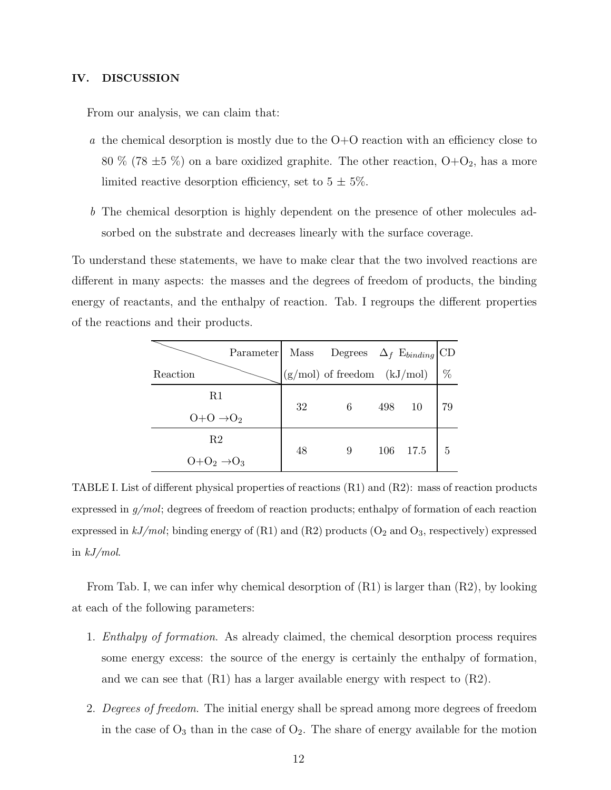### IV. DISCUSSION

From our analysis, we can claim that:

- a the chemical desorption is mostly due to the  $O+O$  reaction with an efficiency close to 80 % (78  $\pm$ 5 %) on a bare oxidized graphite. The other reaction, O+O<sub>2</sub>, has a more limited reactive desorption efficiency, set to  $5 \pm 5\%$ .
- b The chemical desorption is highly dependent on the presence of other molecules adsorbed on the substrate and decreases linearly with the surface coverage.

To understand these statements, we have to make clear that the two involved reactions are different in many aspects: the masses and the degrees of freedom of products, the binding energy of reactants, and the enthalpy of reaction. Tab. I regroups the different properties of the reactions and their products.

| Reaction                    | Parameter Mass Degrees $\Delta_f$ Ebinding CD<br>(g/mol) of freedom (kJ/mol) % |    |   |     |      |    |
|-----------------------------|--------------------------------------------------------------------------------|----|---|-----|------|----|
| R1                          |                                                                                | 32 | 6 | 498 | -10  | 79 |
| $O+O \rightarrow O_2$       |                                                                                |    |   |     |      |    |
| R2<br>$O+O2 \rightarrow O3$ |                                                                                | 48 | 9 | 106 | 17.5 | 5  |
|                             |                                                                                |    |   |     |      |    |

TABLE I. List of different physical properties of reactions (R1) and (R2): mass of reaction products expressed in  $g/mol$ ; degrees of freedom of reaction products; enthalpy of formation of each reaction expressed in  $kJ/mol$ ; binding energy of (R1) and (R2) products (O<sub>2</sub> and O<sub>3</sub>, respectively) expressed in  $kJ/mol$ .

From Tab. I, we can infer why chemical desorption of (R1) is larger than (R2), by looking at each of the following parameters:

- 1. Enthalpy of formation. As already claimed, the chemical desorption process requires some energy excess: the source of the energy is certainly the enthalpy of formation, and we can see that  $(R1)$  has a larger available energy with respect to  $(R2)$ .
- 2. Degrees of freedom. The initial energy shall be spread among more degrees of freedom in the case of  $O_3$  than in the case of  $O_2$ . The share of energy available for the motion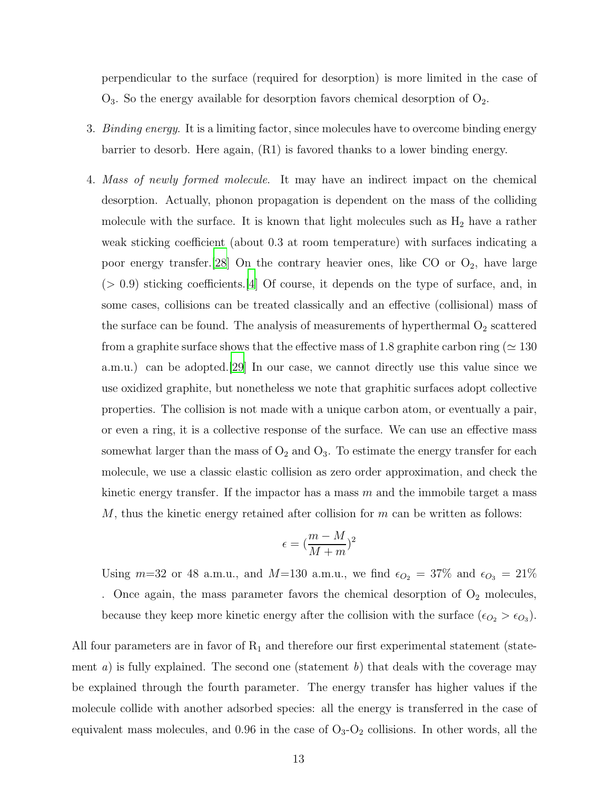perpendicular to the surface (required for desorption) is more limited in the case of  $O_3$ . So the energy available for desorption favors chemical desorption of  $O_2$ .

- 3. *Binding energy*. It is a limiting factor, since molecules have to overcome binding energy barrier to desorb. Here again, (R1) is favored thanks to a lower binding energy.
- 4. Mass of newly formed molecule. It may have an indirect impact on the chemical desorption. Actually, phonon propagation is dependent on the mass of the colliding molecule with the surface. It is known that light molecules such as  $H_2$  have a rather weak sticking coefficient (about 0.3 at room temperature) with surfaces indicating a poor energy transfer.[\[28](#page-19-3)] On the contrary heavier ones, like  $CO$  or  $O_2$ , have large  $(> 0.9)$  sticking coefficients. [\[4](#page-17-3)] Of course, it depends on the type of surface, and, in some cases, collisions can be treated classically and an effective (collisional) mass of the surface can be found. The analysis of measurements of hyperthermal  $O_2$  scattered from a graphite surface shows that the effective mass of 1.8 graphite carbon ring ( $\simeq 130$ a.m.u.) can be adopted.[\[29](#page-19-4)] In our case, we cannot directly use this value since we use oxidized graphite, but nonetheless we note that graphitic surfaces adopt collective properties. The collision is not made with a unique carbon atom, or eventually a pair, or even a ring, it is a collective response of the surface. We can use an effective mass somewhat larger than the mass of  $O_2$  and  $O_3$ . To estimate the energy transfer for each molecule, we use a classic elastic collision as zero order approximation, and check the kinetic energy transfer. If the impactor has a mass  $m$  and the immobile target a mass  $M$ , thus the kinetic energy retained after collision for  $m$  can be written as follows:

$$
\epsilon = (\frac{m-M}{M+m})^2
$$

Using  $m=32$  or 48 a.m.u., and  $M=130$  a.m.u., we find  $\epsilon_{O_2} = 37\%$  and  $\epsilon_{O_3} = 21\%$ . Once again, the mass parameter favors the chemical desorption of  $O_2$  molecules, because they keep more kinetic energy after the collision with the surface  $(\epsilon_{O_2} > \epsilon_{O_3})$ .

All four parameters are in favor of  $R_1$  and therefore our first experimental statement (statement a) is fully explained. The second one (statement b) that deals with the coverage may be explained through the fourth parameter. The energy transfer has higher values if the molecule collide with another adsorbed species: all the energy is transferred in the case of equivalent mass molecules, and 0.96 in the case of  $O_3-O_2$  collisions. In other words, all the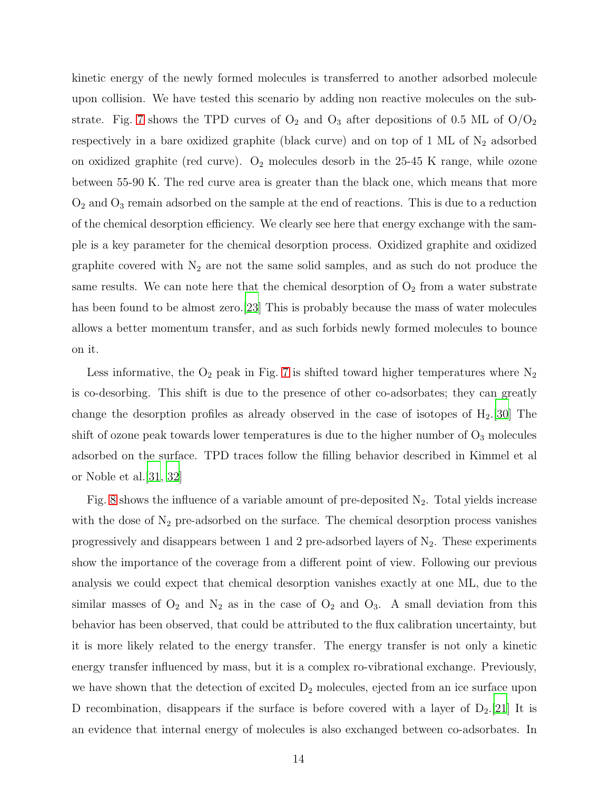kinetic energy of the newly formed molecules is transferred to another adsorbed molecule upon collision. We have tested this scenario by adding non reactive molecules on the sub-strate. Fig. [7](#page-15-0) shows the TPD curves of  $O_2$  and  $O_3$  after depositions of 0.5 ML of  $O/O_2$ respectively in a bare oxidized graphite (black curve) and on top of 1 ML of  $N_2$  adsorbed on oxidized graphite (red curve).  $O_2$  molecules desorb in the 25-45 K range, while ozone between 55-90 K. The red curve area is greater than the black one, which means that more  $O<sub>2</sub>$  and  $O<sub>3</sub>$  remain adsorbed on the sample at the end of reactions. This is due to a reduction of the chemical desorption efficiency. We clearly see here that energy exchange with the sample is a key parameter for the chemical desorption process. Oxidized graphite and oxidized graphite covered with  $N_2$  are not the same solid samples, and as such do not produce the same results. We can note here that the chemical desorption of  $O_2$  from a water substrate has been found to be almost zero.[\[23\]](#page-18-17) This is probably because the mass of water molecules allows a better momentum transfer, and as such forbids newly formed molecules to bounce on it.

Less informative, the  $O_2$  peak in Fig. [7](#page-15-0) is shifted toward higher temperatures where  $N_2$ is co-desorbing. This shift is due to the presence of other co-adsorbates; they can greatly change the desorption profiles as already observed in the case of isotopes of  $H_2$ .[\[30\]](#page-19-5) The shift of ozone peak towards lower temperatures is due to the higher number of  $O_3$  molecules adsorbed on the surface. TPD traces follow the filling behavior described in Kimmel et al or Noble et al.[\[31,](#page-19-6) [32\]](#page-19-7)

Fig. [8](#page-15-1) shows the influence of a variable amount of pre-deposited  $N_2$ . Total yields increase with the dose of  $N_2$  pre-adsorbed on the surface. The chemical desorption process vanishes progressively and disappears between 1 and 2 pre-adsorbed layers of  $N_2$ . These experiments show the importance of the coverage from a different point of view. Following our previous analysis we could expect that chemical desorption vanishes exactly at one ML, due to the similar masses of  $O_2$  and  $N_2$  as in the case of  $O_2$  and  $O_3$ . A small deviation from this behavior has been observed, that could be attributed to the flux calibration uncertainty, but it is more likely related to the energy transfer. The energy transfer is not only a kinetic energy transfer influenced by mass, but it is a complex ro-vibrational exchange. Previously, we have shown that the detection of excited  $D_2$  molecules, ejected from an ice surface upon D recombination, disappears if the surface is before covered with a layer of  $D_2$ .[\[21](#page-18-14)] It is an evidence that internal energy of molecules is also exchanged between co-adsorbates. In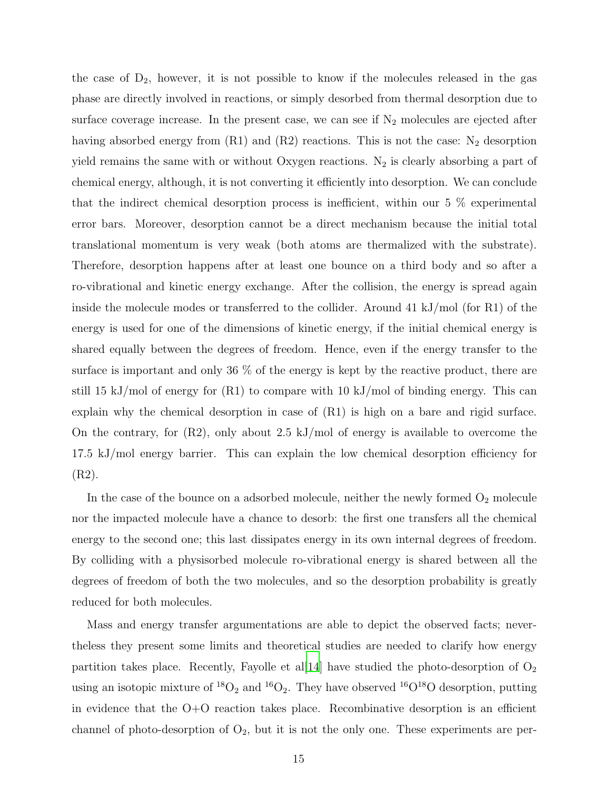the case of  $D_2$ , however, it is not possible to know if the molecules released in the gas phase are directly involved in reactions, or simply desorbed from thermal desorption due to surface coverage increase. In the present case, we can see if  $N_2$  molecules are ejected after having absorbed energy from  $(R1)$  and  $(R2)$  reactions. This is not the case: N<sub>2</sub> desorption yield remains the same with or without Oxygen reactions.  $N_2$  is clearly absorbing a part of chemical energy, although, it is not converting it efficiently into desorption. We can conclude that the indirect chemical desorption process is inefficient, within our 5 % experimental error bars. Moreover, desorption cannot be a direct mechanism because the initial total translational momentum is very weak (both atoms are thermalized with the substrate). Therefore, desorption happens after at least one bounce on a third body and so after a ro-vibrational and kinetic energy exchange. After the collision, the energy is spread again inside the molecule modes or transferred to the collider. Around  $41 \text{ kJ/mol}$  (for R1) of the energy is used for one of the dimensions of kinetic energy, if the initial chemical energy is shared equally between the degrees of freedom. Hence, even if the energy transfer to the surface is important and only 36 % of the energy is kept by the reactive product, there are still 15 kJ/mol of energy for  $(R1)$  to compare with 10 kJ/mol of binding energy. This can explain why the chemical desorption in case of (R1) is high on a bare and rigid surface. On the contrary, for (R2), only about 2.5 kJ/mol of energy is available to overcome the 17.5 kJ/mol energy barrier. This can explain the low chemical desorption efficiency for (R2).

In the case of the bounce on a adsorbed molecule, neither the newly formed  $O_2$  molecule nor the impacted molecule have a chance to desorb: the first one transfers all the chemical energy to the second one; this last dissipates energy in its own internal degrees of freedom. By colliding with a physisorbed molecule ro-vibrational energy is shared between all the degrees of freedom of both the two molecules, and so the desorption probability is greatly reduced for both molecules.

Mass and energy transfer argumentations are able to depict the observed facts; nevertheless they present some limits and theoretical studies are needed to clarify how energy partition takes place. Recently, Fayolle et all  $[14]$  $[14]$  have studied the photo-desorption of  $O_2$ using an isotopic mixture of  ${}^{18}O_2$  and  ${}^{16}O_2$ . They have observed  ${}^{16}O_1{}^{18}O$  desorption, putting in evidence that the  $O+O$  reaction takes place. Recombinative desorption is an efficient channel of photo-desorption of  $O_2$ , but it is not the only one. These experiments are per-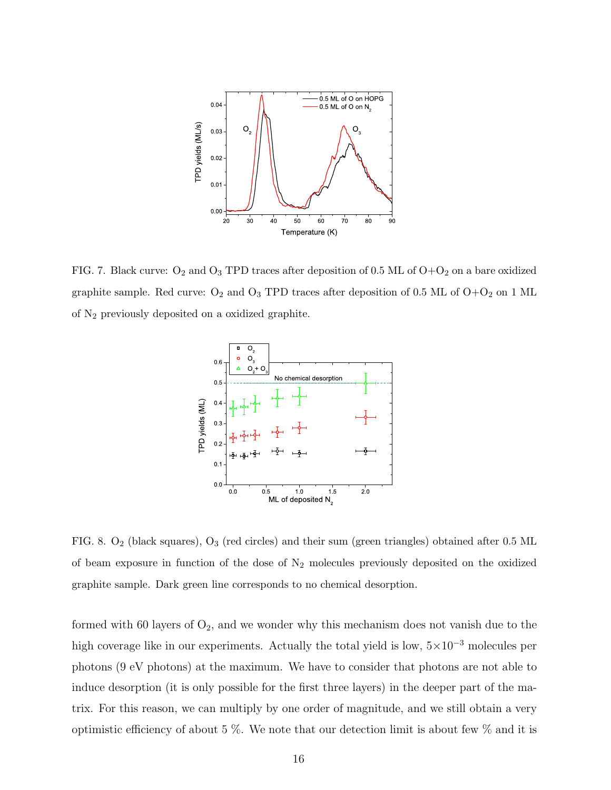

<span id="page-15-0"></span>FIG. 7. Black curve:  $O_2$  and  $O_3$  TPD traces after deposition of 0.5 ML of  $O+O_2$  on a bare oxidized graphite sample. Red curve:  $O_2$  and  $O_3$  TPD traces after deposition of 0.5 ML of  $O+O_2$  on 1 ML of N2 previously deposited on a oxidized graphite.



<span id="page-15-1"></span>FIG. 8.  $O_2$  (black squares),  $O_3$  (red circles) and their sum (green triangles) obtained after 0.5 ML of beam exposure in function of the dose of  $N_2$  molecules previously deposited on the oxidized graphite sample. Dark green line corresponds to no chemical desorption.

formed with 60 layers of  $O_2$ , and we wonder why this mechanism does not vanish due to the high coverage like in our experiments. Actually the total yield is low,  $5\times10^{-3}$  molecules per photons (9 eV photons) at the maximum. We have to consider that photons are not able to induce desorption (it is only possible for the first three layers) in the deeper part of the matrix. For this reason, we can multiply by one order of magnitude, and we still obtain a very optimistic efficiency of about 5 %. We note that our detection limit is about few % and it is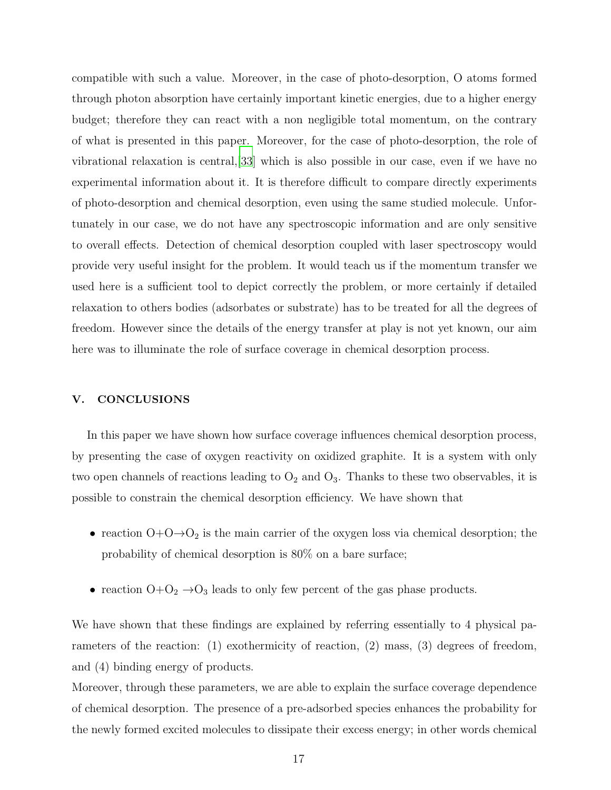compatible with such a value. Moreover, in the case of photo-desorption, O atoms formed through photon absorption have certainly important kinetic energies, due to a higher energy budget; therefore they can react with a non negligible total momentum, on the contrary of what is presented in this paper. Moreover, for the case of photo-desorption, the role of vibrational relaxation is central,[\[33](#page-19-8)] which is also possible in our case, even if we have no experimental information about it. It is therefore difficult to compare directly experiments of photo-desorption and chemical desorption, even using the same studied molecule. Unfortunately in our case, we do not have any spectroscopic information and are only sensitive to overall effects. Detection of chemical desorption coupled with laser spectroscopy would provide very useful insight for the problem. It would teach us if the momentum transfer we used here is a sufficient tool to depict correctly the problem, or more certainly if detailed relaxation to others bodies (adsorbates or substrate) has to be treated for all the degrees of freedom. However since the details of the energy transfer at play is not yet known, our aim here was to illuminate the role of surface coverage in chemical desorption process.

## V. CONCLUSIONS

In this paper we have shown how surface coverage influences chemical desorption process, by presenting the case of oxygen reactivity on oxidized graphite. It is a system with only two open channels of reactions leading to  $O_2$  and  $O_3$ . Thanks to these two observables, it is possible to constrain the chemical desorption efficiency. We have shown that

- reaction  $O+O\rightarrow O_2$  is the main carrier of the oxygen loss via chemical desorption; the probability of chemical desorption is 80% on a bare surface;
- reaction  $O+O_2 \rightarrow O_3$  leads to only few percent of the gas phase products.

We have shown that these findings are explained by referring essentially to 4 physical parameters of the reaction: (1) exothermicity of reaction, (2) mass, (3) degrees of freedom, and (4) binding energy of products.

Moreover, through these parameters, we are able to explain the surface coverage dependence of chemical desorption. The presence of a pre-adsorbed species enhances the probability for the newly formed excited molecules to dissipate their excess energy; in other words chemical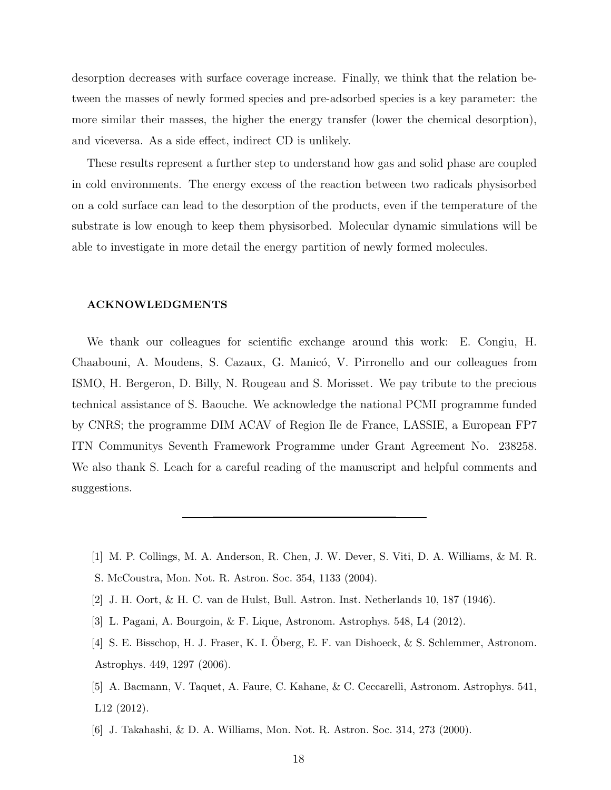desorption decreases with surface coverage increase. Finally, we think that the relation between the masses of newly formed species and pre-adsorbed species is a key parameter: the more similar their masses, the higher the energy transfer (lower the chemical desorption), and viceversa. As a side effect, indirect CD is unlikely.

These results represent a further step to understand how gas and solid phase are coupled in cold environments. The energy excess of the reaction between two radicals physisorbed on a cold surface can lead to the desorption of the products, even if the temperature of the substrate is low enough to keep them physisorbed. Molecular dynamic simulations will be able to investigate in more detail the energy partition of newly formed molecules.

#### ACKNOWLEDGMENTS

We thank our colleagues for scientific exchange around this work: E. Congiu, H. Chaabouni, A. Moudens, S. Cazaux, G. Manicó, V. Pirronello and our colleagues from ISMO, H. Bergeron, D. Billy, N. Rougeau and S. Morisset. We pay tribute to the precious technical assistance of S. Baouche. We acknowledge the national PCMI programme funded by CNRS; the programme DIM ACAV of Region Ile de France, LASSIE, a European FP7 ITN Communitys Seventh Framework Programme under Grant Agreement No. 238258. We also thank S. Leach for a careful reading of the manuscript and helpful comments and suggestions.

- <span id="page-17-0"></span>[1] M. P. Collings, M. A. Anderson, R. Chen, J. W. Dever, S. Viti, D. A. Williams, & M. R.
- S. McCoustra, Mon. Not. R. Astron. Soc. 354, 1133 (2004).
- <span id="page-17-1"></span>[2] J. H. Oort, & H. C. van de Hulst, Bull. Astron. Inst. Netherlands 10, 187 (1946).
- <span id="page-17-2"></span>[3] L. Pagani, A. Bourgoin, & F. Lique, Astronom. Astrophys. 548, L4 (2012).
- <span id="page-17-3"></span>[4] S. E. Bisschop, H. J. Fraser, K. I. Oberg, E. F. van Dishoeck, & S. Schlemmer, Astronom. ¨ Astrophys. 449, 1297 (2006).
- <span id="page-17-4"></span>[5] A. Bacmann, V. Taquet, A. Faure, C. Kahane, & C. Ceccarelli, Astronom. Astrophys. 541, L12 (2012).
- <span id="page-17-5"></span>[6] J. Takahashi, & D. A. Williams, Mon. Not. R. Astron. Soc. 314, 273 (2000).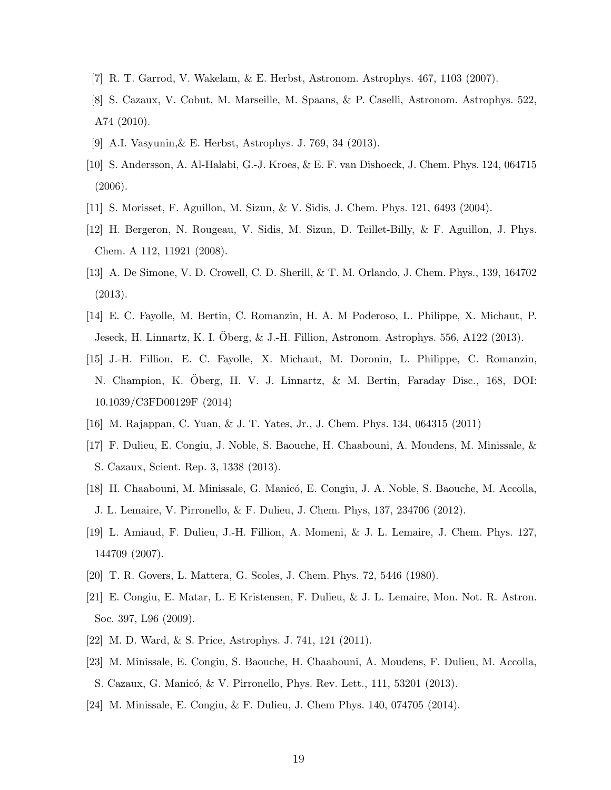- <span id="page-18-1"></span><span id="page-18-0"></span>[7] R. T. Garrod, V. Wakelam, & E. Herbst, Astronom. Astrophys. 467, 1103 (2007).
- [8] S. Cazaux, V. Cobut, M. Marseille, M. Spaans, & P. Caselli, Astronom. Astrophys. 522, A74 (2010).
- <span id="page-18-3"></span><span id="page-18-2"></span>[9] A.I. Vasyunin,& E. Herbst, Astrophys. J. 769, 34 (2013).
- [10] S. Andersson, A. Al-Halabi, G.-J. Kroes, & E. F. van Dishoeck, J. Chem. Phys. 124, 064715 (2006).
- <span id="page-18-5"></span><span id="page-18-4"></span>[11] S. Morisset, F. Aguillon, M. Sizun, & V. Sidis, J. Chem. Phys. 121, 6493 (2004).
- [12] H. Bergeron, N. Rougeau, V. Sidis, M. Sizun, D. Teillet-Billy, & F. Aguillon, J. Phys. Chem. A 112, 11921 (2008).
- <span id="page-18-6"></span>[13] A. De Simone, V. D. Crowell, C. D. Sherill, & T. M. Orlando, J. Chem. Phys., 139, 164702 (2013).
- <span id="page-18-7"></span>[14] E. C. Fayolle, M. Bertin, C. Romanzin, H. A. M Poderoso, L. Philippe, X. Michaut, P. Jeseck, H. Linnartz, K. I. Oberg, & J.-H. Fillion, Astronom. Astrophys. 556, A122 (2013).
- <span id="page-18-8"></span>[15] J.-H. Fillion, E. C. Fayolle, X. Michaut, M. Doronin, L. Philippe, C. Romanzin, N. Champion, K. Oberg, H. V. J. Linnartz, & M. Bertin, Faraday Disc., 168, DOI: 10.1039/C3FD00129F (2014)
- <span id="page-18-9"></span>[16] M. Rajappan, C. Yuan, & J. T. Yates, Jr., J. Chem. Phys. 134, 064315 (2011)
- <span id="page-18-10"></span>[17] F. Dulieu, E. Congiu, J. Noble, S. Baouche, H. Chaabouni, A. Moudens, M. Minissale, & S. Cazaux, Scient. Rep. 3, 1338 (2013).
- <span id="page-18-11"></span>[18] H. Chaabouni, M. Minissale, G. Manicó, E. Congiu, J. A. Noble, S. Baouche, M. Accolla, J. L. Lemaire, V. Pirronello, & F. Dulieu, J. Chem. Phys, 137, 234706 (2012).
- <span id="page-18-12"></span>[19] L. Amiaud, F. Dulieu, J.-H. Fillion, A. Momeni, & J. L. Lemaire, J. Chem. Phys. 127, 144709 (2007).
- <span id="page-18-13"></span>[20] T. R. Govers, L. Mattera, G. Scoles, J. Chem. Phys. 72, 5446 (1980).
- <span id="page-18-14"></span>[21] E. Congiu, E. Matar, L. E Kristensen, F. Dulieu, & J. L. Lemaire, Mon. Not. R. Astron. Soc. 397, L96 (2009).
- <span id="page-18-15"></span>[22] M. D. Ward, & S. Price, Astrophys. J. 741, 121 (2011).
- <span id="page-18-17"></span>[23] M. Minissale, E. Congiu, S. Baouche, H. Chaabouni, A. Moudens, F. Dulieu, M. Accolla, S. Cazaux, G. Manicó, & V. Pirronello, Phys. Rev. Lett., 111, 53201 (2013).
- <span id="page-18-16"></span>[24] M. Minissale, E. Congiu, & F. Dulieu, J. Chem Phys. 140, 074705 (2014).